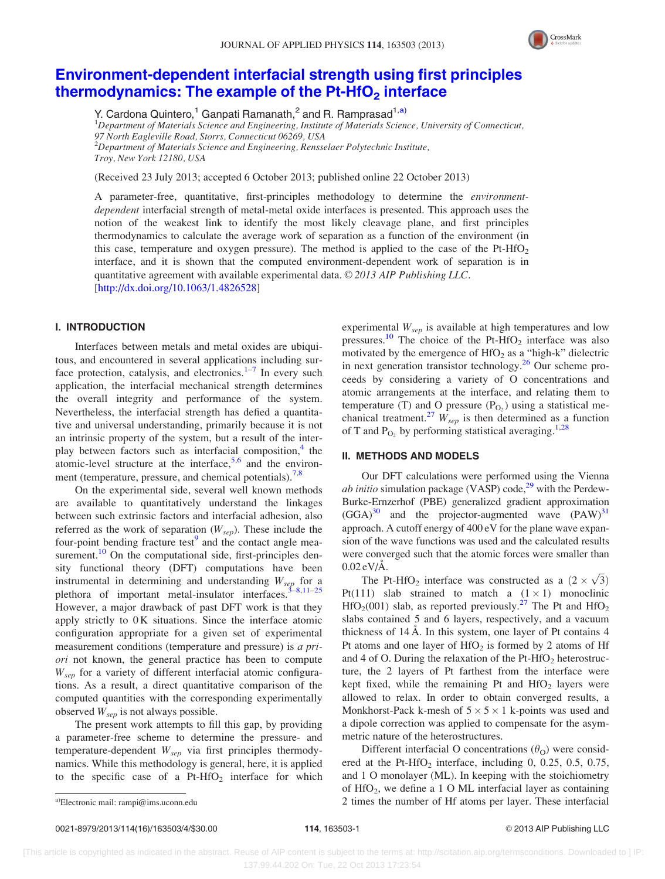

# [Environment-dependent interfacial strength using first principles](http://dx.doi.org/10.1063/1.4826528) thermodynamics: The example of the Pt-HfO<sub>2</sub> [interface](http://dx.doi.org/10.1063/1.4826528)

Y. Cardona Quintero,<sup>1</sup> Ganpati Ramanath,<sup>2</sup> and R. Ramprasad<sup>1,a)</sup>

<sup>1</sup>Department of Materials Science and Engineering, Institute of Materials Science, University of Connecticut, 97 North Eagleville Road, Storrs, Connecticut 06269, USA  $^{2}$ Department of Materials Science and Engineering, Rensselaer Polytechnic Institute, Troy, New York 12180, USA

(Received 23 July 2013; accepted 6 October 2013; published online 22 October 2013)

A parameter-free, quantitative, first-principles methodology to determine the environmentdependent interfacial strength of metal-metal oxide interfaces is presented. This approach uses the notion of the weakest link to identify the most likely cleavage plane, and first principles thermodynamics to calculate the average work of separation as a function of the environment (in this case, temperature and oxygen pressure). The method is applied to the case of the Pt-HfO<sub>2</sub> interface, and it is shown that the computed environment-dependent work of separation is in quantitative agreement with available experimental data.  $\odot$  2013 AIP Publishing LLC. [\[http://dx.doi.org/10.1063/1.4826528](http://dx.doi.org/10.1063/1.4826528)]

## I. INTRODUCTION

Interfaces between metals and metal oxides are ubiquitous, and encountered in several applications including surface protection, catalysis, and electronics. $1-7$  In every such application, the interfacial mechanical strength determines the overall integrity and performance of the system. Nevertheless, the interfacial strength has defied a quantitative and universal understanding, primarily because it is not an intrinsic property of the system, but a result of the interplay between factors such as interfacial composition, $4$  the atomic-level structure at the interface,  $5.6$  and the environ-ment (temperature, pressure, and chemical potentials).<sup>[7,8](#page-3-0)</sup>

On the experimental side, several well known methods are available to quantitatively understand the linkages between such extrinsic factors and interfacial adhesion, also referred as the work of separation  $(W_{sep})$ . These include the four-point bending fracture test<sup>9</sup> and the contact angle mea-surement.<sup>[10](#page-3-0)</sup> On the computational side, first-principles density functional theory (DFT) computations have been instrumental in determining and understanding  $W_{sep}$  for a plethora of important metal-insulator interfaces.<sup>3-8,11-25</sup> However, a major drawback of past DFT work is that they apply strictly to  $0K$  situations. Since the interface atomic configuration appropriate for a given set of experimental measurement conditions (temperature and pressure) is a priori not known, the general practice has been to compute  $W<sub>sep</sub>$  for a variety of different interfacial atomic configurations. As a result, a direct quantitative comparison of the computed quantities with the corresponding experimentally observed  $W_{sep}$  is not always possible.

The present work attempts to fill this gap, by providing a parameter-free scheme to determine the pressure- and temperature-dependent  $W_{sep}$  via first principles thermodynamics. While this methodology is general, here, it is applied to the specific case of a  $Pt-HfO<sub>2</sub>$  interface for which experimental  $W_{sen}$  is available at high temperatures and low pressures.<sup>[10](#page-3-0)</sup> The choice of the Pt-HfO<sub>2</sub> interface was also motivated by the emergence of  $HfO<sub>2</sub>$  as a "high-k" dielectric in next generation transistor technology.[26](#page-3-0) Our scheme proceeds by considering a variety of O concentrations and atomic arrangements at the interface, and relating them to temperature (T) and O pressure  $(P<sub>O2</sub>)$  using a statistical me-chanical treatment.<sup>[27](#page-3-0)</sup>  $W_{sep}$  is then determined as a function of T and  $P_{\text{O}_2}$  by performing statistical averaging.<sup>[1,28](#page-3-0)</sup>

## II. METHODS AND MODELS

Our DFT calculations were performed using the Vienna *ab initio* simulation package (VASP) code,<sup>29</sup> with the Perdew-Burke-Ernzerhof (PBE) generalized gradient approximation  $(GGA)^{30}$  $(GGA)^{30}$  $(GGA)^{30}$  and the projector-augmented wave  $(PAW)^{31}$  $(PAW)^{31}$  $(PAW)^{31}$ approach. A cutoff energy of 400 eV for the plane wave expansion of the wave functions was used and the calculated results were converged such that the atomic forces were smaller than  $0.02 \text{ eV/A}$ .

For Pt-HfO<sub>2</sub> interface was constructed as a  $(2 \times \sqrt{3})$ Pt(111) slab strained to match a  $(1 \times 1)$  monoclinic  $HfO<sub>2</sub>(001)$  slab, as reported previously.<sup>[27](#page-3-0)</sup> The Pt and HfO<sub>2</sub> slabs contained 5 and 6 layers, respectively, and a vacuum thickness of  $14 \text{ Å}$ . In this system, one layer of Pt contains  $4$ Pt atoms and one layer of  $HfO<sub>2</sub>$  is formed by 2 atoms of Hf and 4 of O. During the relaxation of the Pt-HfO<sub>2</sub> heterostructure, the 2 layers of Pt farthest from the interface were kept fixed, while the remaining Pt and  $HfO<sub>2</sub>$  layers were allowed to relax. In order to obtain converged results, a Monkhorst-Pack k-mesh of  $5 \times 5 \times 1$  k-points was used and a dipole correction was applied to compensate for the asymmetric nature of the heterostructures.

Different interfacial O concentrations  $(\theta_{\Omega})$  were considered at the Pt-HfO<sub>2</sub> interface, including  $0$ ,  $0.25$ ,  $0.5$ ,  $0.75$ , and 1 O monolayer (ML). In keeping with the stoichiometry of  $HfO<sub>2</sub>$ , we define a 1 O ML interfacial layer as containing a)Electronic mail: [rampi@ims.uconn.edu](mailto:rampi@ims.uconn.edu) a)Electronic mail: rampi@ims.uconn.edu a)Electronic mail: rampi@ims.uconn.edu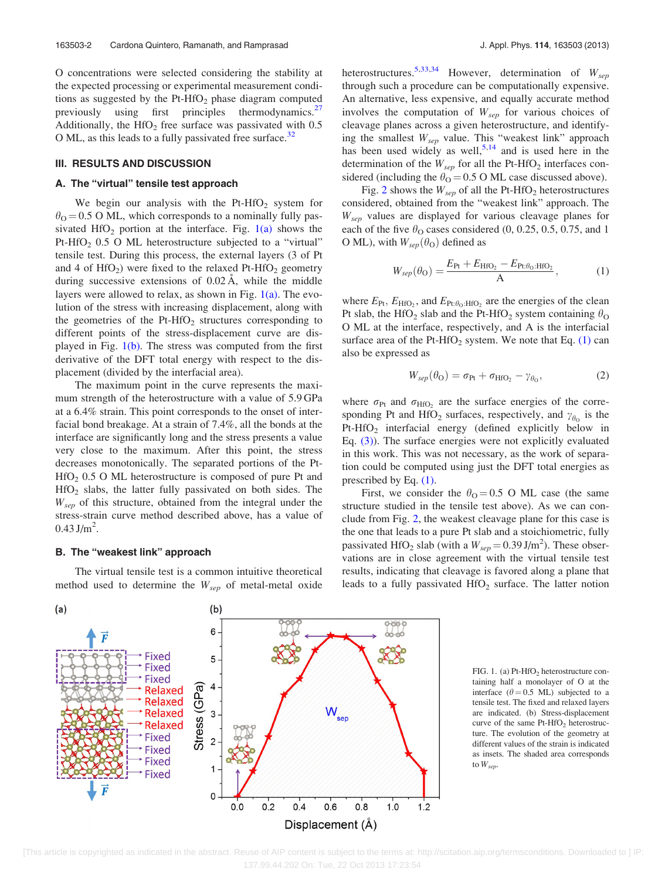O concentrations were selected considering the stability at the expected processing or experimental measurement conditions as suggested by the  $Pt-HfO<sub>2</sub>$  phase diagram computed previously using first principles thermodynamics. $27$ Additionally, the HfO<sub>2</sub> free surface was passivated with  $0.5$ O ML, as this leads to a fully passivated free surface.<sup>[32](#page-3-0)</sup>

#### III. RESULTS AND DISCUSSION

## A. The "virtual" tensile test approach

We begin our analysis with the Pt-HfO<sub>2</sub> system for  $\theta_{\Omega}$  = 0.5 O ML, which corresponds to a nominally fully passivated  $HfO<sub>2</sub>$  portion at the interface. Fig.  $1(a)$  shows the Pt-HfO<sub>2</sub>  $0.5$  O ML heterostructure subjected to a "virtual" tensile test. During this process, the external layers (3 of Pt and 4 of  $HfO<sub>2</sub>$ ) were fixed to the relaxed Pt-HfO<sub>2</sub> geometry during successive extensions of  $0.02 \text{ Å}$ , while the middle layers were allowed to relax, as shown in Fig.  $1(a)$ . The evolution of the stress with increasing displacement, along with the geometries of the Pt-HfO<sub>2</sub> structures corresponding to different points of the stress-displacement curve are displayed in Fig.  $1(b)$ . The stress was computed from the first derivative of the DFT total energy with respect to the displacement (divided by the interfacial area).

The maximum point in the curve represents the maximum strength of the heterostructure with a value of 5.9 GPa at a 6.4% strain. This point corresponds to the onset of interfacial bond breakage. At a strain of 7.4%, all the bonds at the interface are significantly long and the stress presents a value very close to the maximum. After this point, the stress decreases monotonically. The separated portions of the Pt- $HfO<sub>2</sub> 0.5 O ML heterostructure is composed of pure Pt and$ HfO2 slabs, the latter fully passivated on both sides. The  $W<sub>sep</sub>$  of this structure, obtained from the integral under the stress-strain curve method described above, has a value of  $0.43$  J/m<sup>2</sup>.

## B. The "weakest link" approach

The virtual tensile test is a common intuitive theoretical method used to determine the  $W_{sep}$  of metal-metal oxide heterostructures.<sup>[5,33,34](#page-3-0)</sup> However, determination of  $W_{sep}$ through such a procedure can be computationally expensive. An alternative, less expensive, and equally accurate method involves the computation of  $W_{sep}$  for various choices of cleavage planes across a given heterostructure, and identifying the smallest  $W_{sep}$  value. This "weakest link" approach has been used widely as well,<sup>[5,14](#page-3-0)</sup> and is used here in the determination of the  $W_{sep}$  for all the Pt-HfO<sub>2</sub> interfaces considered (including the  $\theta_{\rm O} = 0.5$  O ML case discussed above).

Fig. [2](#page-2-0) shows the  $W_{sep}$  of all the Pt-HfO<sub>2</sub> heterostructures considered, obtained from the "weakest link" approach. The  $W<sub>sep</sub>$  values are displayed for various cleavage planes for each of the five  $\theta_0$  cases considered (0, 0.25, 0.5, 0.75, and 1 O ML), with  $W_{sep}(\theta_0)$  defined as

$$
W_{sep}(\theta_{\rm O}) = \frac{E_{\rm Pt} + E_{\rm HfO_2} - E_{\rm Pt:\theta_{\rm O}:HfO_2}}{A},\tag{1}
$$

where  $E_{\text{Pt}}$ ,  $E_{\text{HfO}_2}$ , and  $E_{\text{Pt}:\theta_0:\text{HfO}_2}$  are the energies of the clean Pt slab, the HfO<sub>2</sub> slab and the Pt-HfO<sub>2</sub> system containing  $\theta_{\text{O}}$ O ML at the interface, respectively, and A is the interfacial surface area of the Pt-HfO<sub>2</sub> system. We note that Eq.  $(1)$  can also be expressed as

$$
W_{sep}(\theta_{\rm O}) = \sigma_{\rm Pt} + \sigma_{\rm HfO_2} - \gamma_{\theta_{\rm O}},\tag{2}
$$

where  $\sigma_{Pt}$  and  $\sigma_{HfO_2}$  are the surface energies of the corresponding Pt and HfO<sub>2</sub> surfaces, respectively, and  $\gamma_{\theta_0}$  is the Pt-HfO<sub>2</sub> interfacial energy (defined explicitly below in Eq. [\(3\)\)](#page-2-0). The surface energies were not explicitly evaluated in this work. This was not necessary, as the work of separation could be computed using just the DFT total energies as prescribed by Eq. (1).

First, we consider the  $\theta_{\Omega} = 0.5$  O ML case (the same structure studied in the tensile test above). As we can conclude from Fig. [2](#page-2-0), the weakest cleavage plane for this case is the one that leads to a pure Pt slab and a stoichiometric, fully passivated HfO<sub>2</sub> slab (with a  $W_{sep} = 0.39 \text{ J/m}^2$ ). These observations are in close agreement with the virtual tensile test results, indicating that cleavage is favored along a plane that leads to a fully passivated  $HfO<sub>2</sub>$  surface. The latter notion



FIG. 1. (a)  $Pt-HfO<sub>2</sub>$  heterostructure containing half a monolayer of O at the interface ( $\theta$  = 0.5 ML) subjected to a tensile test. The fixed and relaxed layers are indicated. (b) Stress-displacement curve of the same Pt-HfO<sub>2</sub> heterostructure. The evolution of the geometry at different values of the strain is indicated as insets. The shaded area corresponds to  $W_{sep}$ .

 <sup>[</sup>This article is copyrighted as indicated in the abstract. Reuse of AIP content is subject to the terms at: http://scitation.aip.org/termsconditions. Downloaded to ] IP: 137.99.44.202 On: Tue, 22 Oct 2013 17:23:54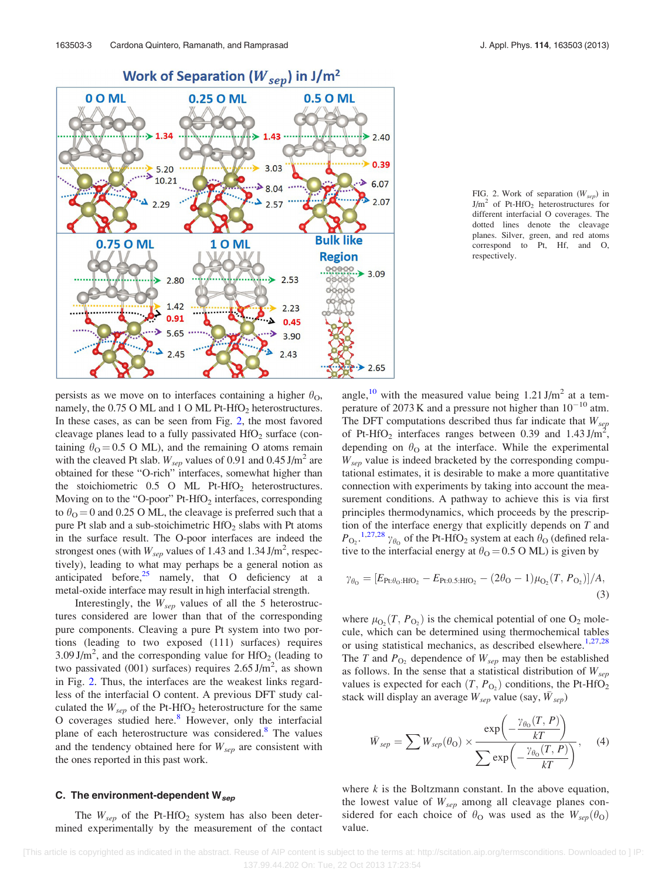<span id="page-2-0"></span>

FIG. 2. Work of separation  $(W_{sen})$  in  $J/m^2$  of Pt-HfO<sub>2</sub> heterostructures for different interfacial O coverages. The dotted lines denote the cleavage planes. Silver, green, and red atoms correspond to Pt, Hf, and O, respectively.

persists as we move on to interfaces containing a higher  $\theta_{\Omega}$ , namely, the  $0.75$  O ML and 1 O ML Pt-HfO<sub>2</sub> heterostructures. In these cases, as can be seen from Fig. 2, the most favored cleavage planes lead to a fully passivated  $HfO<sub>2</sub>$  surface (containing  $\theta_{\rm O}$  = 0.5 O ML), and the remaining O atoms remain with the cleaved Pt slab.  $W_{sep}$  values of 0.91 and 0.45 J/m<sup>2</sup> are obtained for these "O-rich" interfaces, somewhat higher than the stoichiometric  $0.5$  O ML Pt-HfO<sub>2</sub> heterostructures. Moving on to the "O-poor"  $Pt-HfO<sub>2</sub>$  interfaces, corresponding to  $\theta_{\rm O}$  = 0 and 0.25 O ML, the cleavage is preferred such that a pure Pt slab and a sub-stoichimetric  $HfO<sub>2</sub>$  slabs with Pt atoms in the surface result. The O-poor interfaces are indeed the strongest ones (with  $W_{sep}$  values of 1.43 and 1.34 J/m<sup>2</sup>, respectively), leading to what may perhaps be a general notion as anticipated before, $25$  namely, that O deficiency at a metal-oxide interface may result in high interfacial strength.

Interestingly, the  $W_{sep}$  values of all the 5 heterostructures considered are lower than that of the corresponding pure components. Cleaving a pure Pt system into two portions (leading to two exposed (111) surfaces) requires  $3.09 \text{ J/m}^2$ , and the corresponding value for HfO<sub>2</sub> (leading to two passivated (001) surfaces) requires  $2.65 \text{ J/m}^2$ , as shown in Fig. 2. Thus, the interfaces are the weakest links regardless of the interfacial O content. A previous DFT study calculated the  $W_{sep}$  of the Pt-HfO<sub>2</sub> heterostructure for the same O coverages studied here.<sup>[8](#page-3-0)</sup> However, only the interfacial plane of each heterostructure was considered.<sup>8</sup> The values and the tendency obtained here for  $W_{sep}$  are consistent with the ones reported in this past work.

## C. The environment-dependent  $W_{sep}$

The  $W_{sep}$  of the Pt-HfO<sub>2</sub> system has also been determined experimentally by the measurement of the contact angle,<sup>[10](#page-3-0)</sup> with the measured value being  $1.21 \text{ J/m}^2$  at a temperature of 2073 K and a pressure not higher than  $10^{-10}$  atm. The DFT computations described thus far indicate that  $W_{sep}$ of Pt-HfO<sub>2</sub> interfaces ranges between 0.39 and  $1.43 \text{ J/m}^2$ , depending on  $\theta_{\text{O}}$  at the interface. While the experimental  $W<sub>sep</sub>$  value is indeed bracketed by the corresponding computational estimates, it is desirable to make a more quantitative connection with experiments by taking into account the measurement conditions. A pathway to achieve this is via first principles thermodynamics, which proceeds by the prescription of the interface energy that explicitly depends on  $T$  and  $P_{\text{O}_2}$ .<sup>[1,27,28](#page-3-0)</sup>  $\gamma_{\theta_0}$  of the Pt-HfO<sub>2</sub> system at each  $\theta_{\text{O}}$  (defined relative to the interfacial energy at  $\theta_{\rm O}$  = 0.5 O ML) is given by

$$
\gamma_{\theta_0} = [E_{\text{Pt:}\theta_0:\text{HfO}_2} - E_{\text{Pt:0.5:HfO}_2} - (2\theta_0 - 1)\mu_{\text{O}_2}(T, P_{\text{O}_2})]/A, \tag{3}
$$

where  $\mu_{\text{O}_2}(T, P_{\text{O}_2})$  is the chemical potential of one O<sub>2</sub> molecule, which can be determined using thermochemical tables or using statistical mechanics, as described elsewhere.<sup>[1,27,28](#page-3-0)</sup> The T and  $P_{\text{O}_2}$  dependence of  $W_{sep}$  may then be established as follows. In the sense that a statistical distribution of  $W_{sep}$ values is expected for each  $(T, P<sub>O<sub>2</sub></sub>)$  conditions, the Pt-HfO<sub>2</sub> stack will display an average  $W_{sep}$  value (say,  $\bar{W}_{sep}$ )

$$
\bar{W}_{sep} = \sum W_{sep}(\theta_{\text{O}}) \times \frac{\exp\left(-\frac{\gamma_{\theta_{\text{O}}}(T, P)}{kT}\right)}{\sum \exp\left(-\frac{\gamma_{\theta_{\text{O}}}(T, P)}{kT}\right)}, \quad (4)
$$

where  $k$  is the Boltzmann constant. In the above equation, the lowest value of  $W_{sep}$  among all cleavage planes considered for each choice of  $\theta_{\rm O}$  was used as the  $W_{sep}(\theta_{\rm O})$ value.